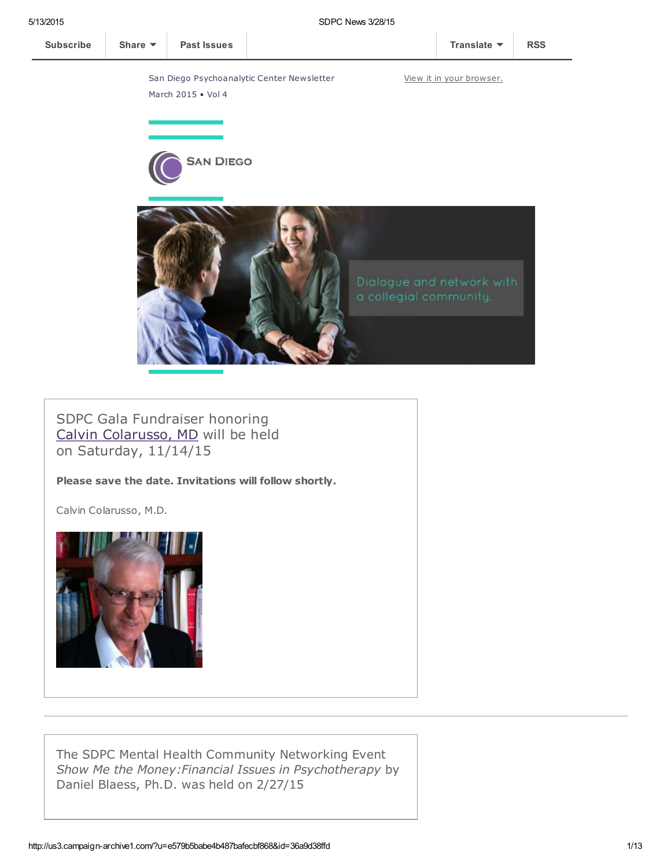| Subscribe                                                                                    | Share $\blacktriangledown$ | <b>Past Issues</b> |  |                                                     | Translate $\blacktriangledown$ | <b>RSS</b> |
|----------------------------------------------------------------------------------------------|----------------------------|--------------------|--|-----------------------------------------------------|--------------------------------|------------|
| San Diego Psychoanalytic Center Newsletter<br>View it in your browser.<br>March 2015 • Vol 4 |                            |                    |  |                                                     |                                |            |
|                                                                                              |                            | <b>SAN DIEGO</b>   |  |                                                     |                                |            |
|                                                                                              |                            |                    |  | Dialogue and network with<br>a collegial community. |                                |            |
|                                                                                              |                            |                    |  |                                                     |                                |            |

SDPC Gala Fundraiser honoring Calvin [Colarusso,](http://www.sdpsychoanalyticcenter.org/members/profiles/20#profile-main) MD will be held on Saturday, 11/14/15

Please save the date. Invitations will follow shortly.

Calvin Colarusso, M.D.



The SDPC Mental Health Community Networking Event Show Me the Money:Financial Issues in Psychotherapy by Daniel Blaess, Ph.D. was held on 2/27/15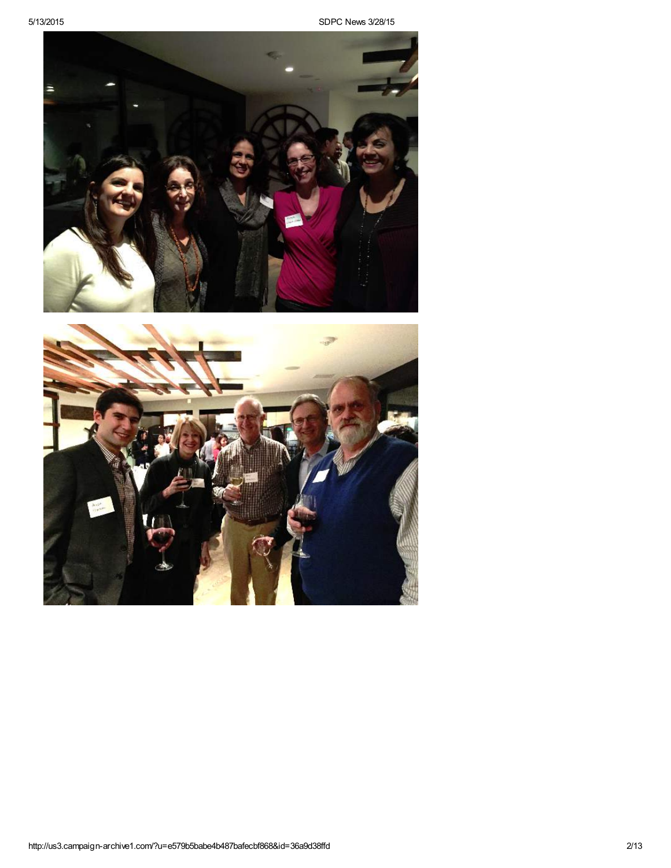

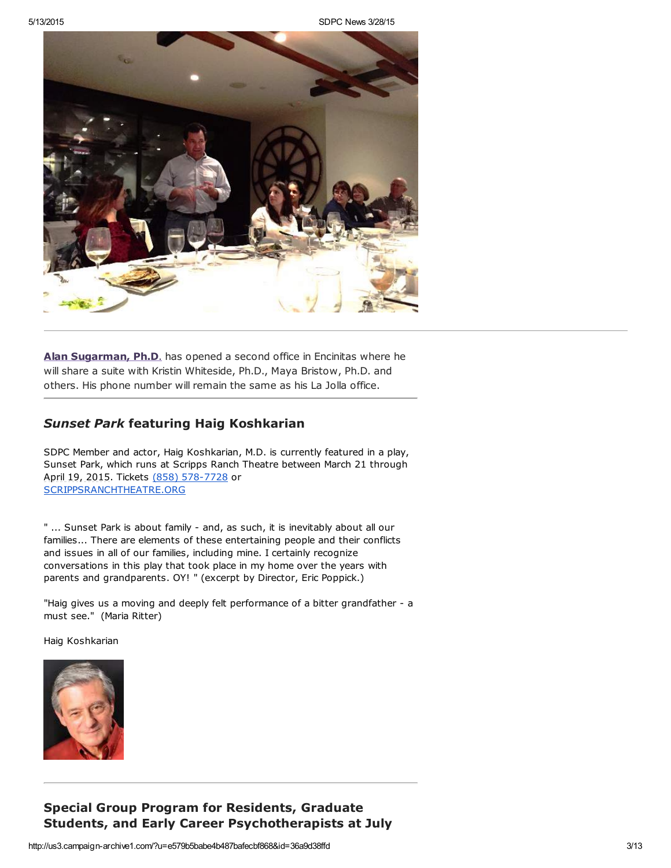

Alan [Sugarman,](http://www.sdpsychoanalyticcenter.org/members/profiles/38#profile-main) Ph.D. has opened a second office in Encinitas where he will share a suite with Kristin Whiteside, Ph.D., Maya Bristow, Ph.D. and others. His phone number will remain the same as his La Jolla office.

### Sunset Park featuring Haig Koshkarian

SDPC Member and actor, Haig Koshkarian, M.D. is currently featured in a play, Sunset Park, which runs at Scripps Ranch Theatre between March 21 through April 19, 2015. Tickets (858) [578-7728](tel:%28858%29%20578-7728) or [SCRIPPSRANCHTHEATRE.ORG](http://scrippsranchtheatre.org/)

" ... Sunset Park is about family - and, as such, it is inevitably about all our families... There are elements of these entertaining people and their conflicts and issues in all of our families, including mine. I certainly recognize conversations in this play that took place in my home over the years with parents and grandparents. OY! " (excerpt by Director, Eric Poppick.)

"Haig gives us a moving and deeply felt performance of a bitter grandfather - a must see." (Maria Ritter)

Haig Koshkarian



Special Group Program for Residents, Graduate Students, and Early Career Psychotherapists at July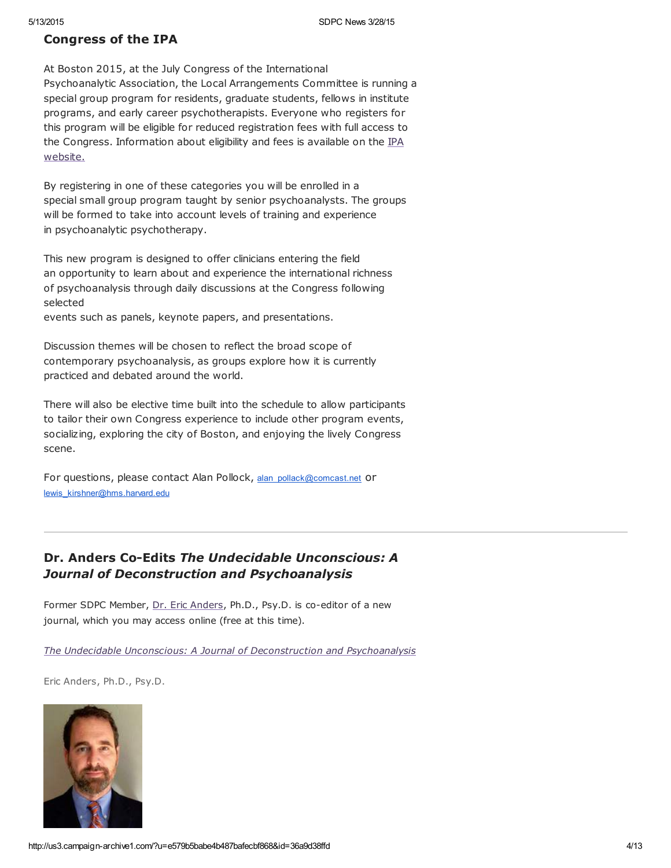### Congress of the IPA

At Boston 2015, at the July Congress of the International Psychoanalytic Association, the Local Arrangements Committee is running a special group program for residents, graduate students, fellows in institute programs, and early career psychotherapists. Everyone who registers for this program will be eligible for reduced registration fees with full access to the Congress. [Information](http://www.ipa.org.uk/congress) about eligibility and fees is available on the IPA website.

By registering in one of these categories you will be enrolled in a special small group program taught by senior psychoanalysts. The groups will be formed to take into account levels of training and experience in psychoanalytic psychotherapy.

This new program is designed to offer clinicians entering the field an opportunity to learn about and experience the international richness of psychoanalysis through daily discussions at the Congress following selected

events such as panels, keynote papers, and presentations.

Discussion themes will be chosen to reflect the broad scope of contemporary psychoanalysis, as groups explore how it is currently practiced and debated around the world.

There will also be elective time built into the schedule to allow participants to tailor their own Congress experience to include other program events, socializing, exploring the city of Boston, and enjoying the lively Congress scene.

For questions, please contact Alan Pollock, alan pollack@comcast.net Or [lewis\\_kirshner@hms.harvard.edu](mailto:lewis_kirshner@hms.harvard.edu)

### Dr. Anders Co-Edits The Undecidable Unconscious: A Journal of Deconstruction and Psychoanalysis

Former SDPC Member, Dr. Eric [Anders,](http://www.drericanders.com/about.php) Ph.D., Psy.D. is co-editor of a new journal, which you may access online (free at this time).

The Undecidable Unconscious: A Journal of [Deconstruction](http://muse.jhu.edu/journals/the_undecidable_unconscious_a_journal_of_deconstruction_and_psychoanalysis/toc/ujd.1.html) and Psychoanalysis

Eric Anders, Ph.D., Psy.D.

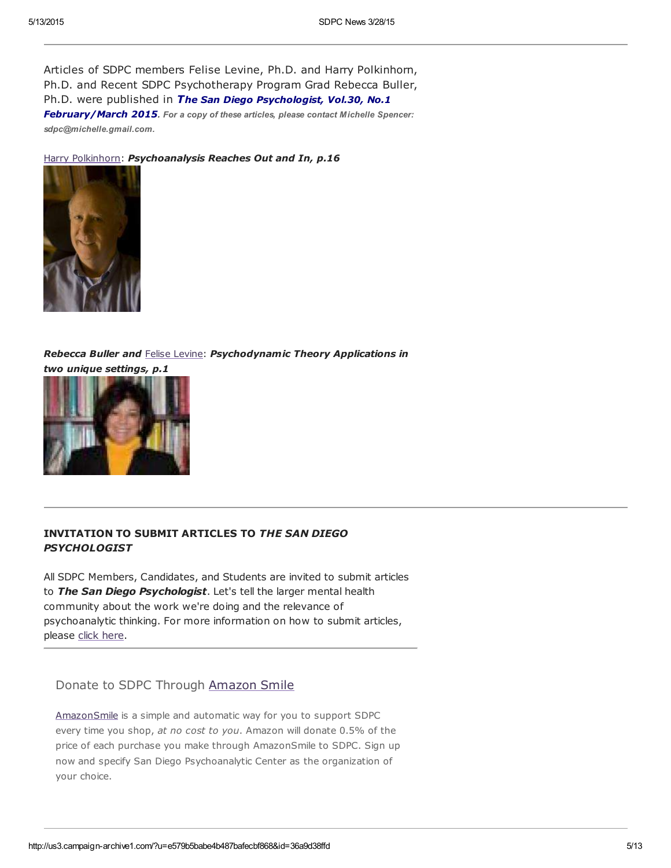Articles of SDPC members Felise Levine, Ph.D. and Harry Polkinhorn, Ph.D. and Recent SDPC Psychotherapy Program Grad Rebecca Buller, Ph.D. were published in The San Diego Psychologist, Vol.30, No.1 February/March 2015. For a copy of these articles, please contact Michelle Spencer: sdpc@michelle.gmail.com.

Harry [Polkinhorn](http://www.sdpsychoanalyticcenter.org/members/profiles/65#profile-main): Psychoanalysis Reaches Out and In, p.16



Rebecca Buller and Felise [Levine](http://www.sdpsychoanalyticcenter.org/members/profiles/82#profile-main): Psychodynamic Theory Applications in two unique settings, p.1



### INVITATION TO SUBMIT ARTICLES TO THE SAN DIEGO **PSYCHOLOGIST**

All SDPC Members, Candidates, and Students are invited to submit articles to The San Diego Psychologist. Let's tell the larger mental health community about the work we're doing and the relevance of psychoanalytic thinking. For more information on how to submit articles, please click [here](http://www.sdpsych.org/article_submissions.php).

### Donate to SDPC Through [Amazon](http://www.sdpsychoanalyticcenter.org/node/395#overlay-context=node/395) Smile

[AmazonSmile](http://smile.amazon.com/about) is a simple and automatic way for you to support SDPC every time you shop, at no cost to you. Amazon will donate 0.5% of the price of each purchase you make through AmazonSmile to SDPC. Sign up now and specify San Diego Psychoanalytic Center as the organization of your choice.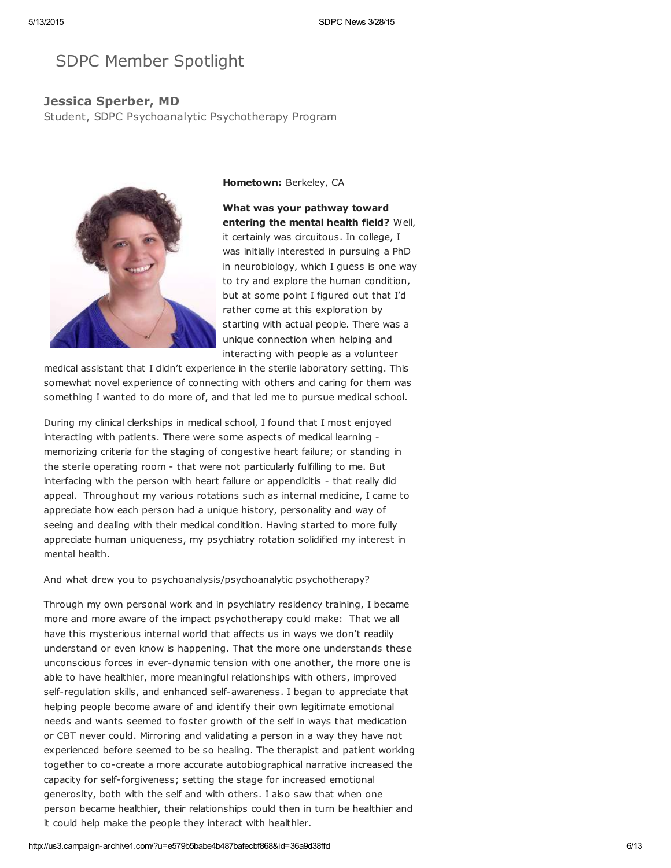## SDPC Member Spotlight

Jessica Sperber, MD Student, SDPC Psychoanalytic Psychotherapy Program



Hometown: Berkeley, CA

What was your pathway toward entering the mental health field? Well, it certainly was circuitous. In college, I was initially interested in pursuing a PhD in neurobiology, which I guess is one way to try and explore the human condition, but at some point I figured out that I'd rather come at this exploration by starting with actual people. There was a unique connection when helping and interacting with people as a volunteer

medical assistant that I didn't experience in the sterile laboratory setting. This somewhat novel experience of connecting with others and caring for them was something I wanted to do more of, and that led me to pursue medical school.

During my clinical clerkships in medical school, I found that I most enjoyed interacting with patients. There were some aspects of medical learning memorizing criteria for the staging of congestive heart failure; or standing in the sterile operating room - that were not particularly fulfilling to me. But interfacing with the person with heart failure or appendicitis - that really did appeal. Throughout my various rotations such as internal medicine, I came to appreciate how each person had a unique history, personality and way of seeing and dealing with their medical condition. Having started to more fully appreciate human uniqueness, my psychiatry rotation solidified my interest in mental health.

And what drew you to psychoanalysis/psychoanalytic psychotherapy?

Through my own personal work and in psychiatry residency training, I became more and more aware of the impact psychotherapy could make: That we all have this mysterious internal world that affects us in ways we don't readily understand or even know is happening. That the more one understands these unconscious forces in ever-dynamic tension with one another, the more one is able to have healthier, more meaningful relationships with others, improved self-regulation skills, and enhanced self-awareness. I began to appreciate that helping people become aware of and identify their own legitimate emotional needs and wants seemed to foster growth of the self in ways that medication or CBT never could. Mirroring and validating a person in a way they have not experienced before seemed to be so healing. The therapist and patient working together to co-create a more accurate autobiographical narrative increased the capacity for self-forgiveness; setting the stage for increased emotional generosity, both with the self and with others. I also saw that when one person became healthier, their relationships could then in turn be healthier and it could help make the people they interact with healthier.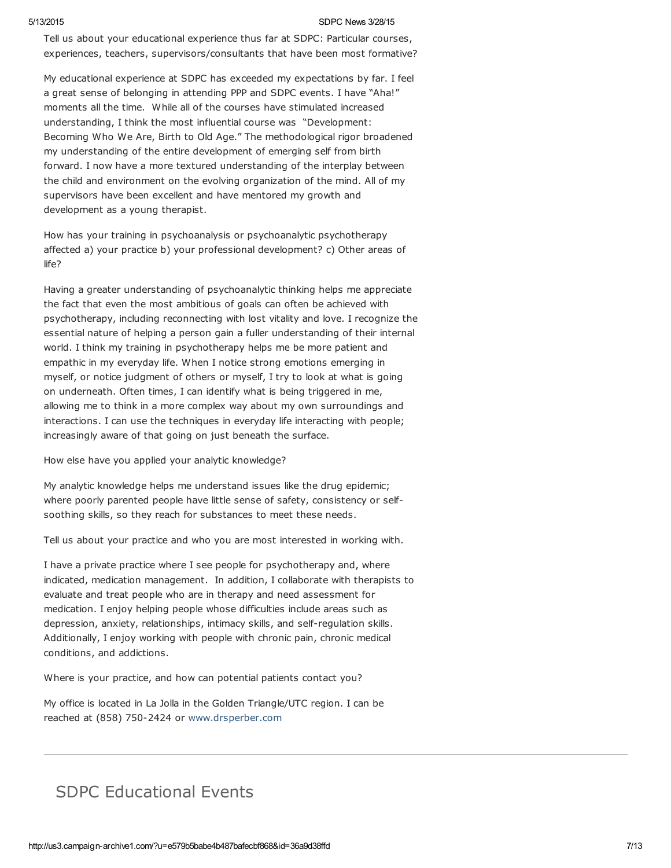Tell us about your educational experience thus far at SDPC: Particular courses, experiences, teachers, supervisors/consultants that have been most formative?

My educational experience at SDPC has exceeded my expectations by far. I feel a great sense of belonging in attending PPP and SDPC events. I have "Aha!" moments all the time. While all of the courses have stimulated increased understanding, I think the most influential course was "Development: Becoming Who We Are, Birth to Old Age." The methodological rigor broadened my understanding of the entire development of emerging self from birth forward. I now have a more textured understanding of the interplay between the child and environment on the evolving organization of the mind. All of my supervisors have been excellent and have mentored my growth and development as a young therapist.

How has your training in psychoanalysis or psychoanalytic psychotherapy affected a) your practice b) your professional development? c) Other areas of life?

Having a greater understanding of psychoanalytic thinking helps me appreciate the fact that even the most ambitious of goals can often be achieved with psychotherapy, including reconnecting with lost vitality and love. I recognize the essential nature of helping a person gain a fuller understanding of their internal world. I think my training in psychotherapy helps me be more patient and empathic in my everyday life. When I notice strong emotions emerging in myself, or notice judgment of others or myself, I try to look at what is going on underneath. Often times, I can identify what is being triggered in me, allowing me to think in a more complex way about my own surroundings and interactions. I can use the techniques in everyday life interacting with people; increasingly aware of that going on just beneath the surface.

How else have you applied your analytic knowledge?

My analytic knowledge helps me understand issues like the drug epidemic; where poorly parented people have little sense of safety, consistency or selfsoothing skills, so they reach for substances to meet these needs.

Tell us about your practice and who you are most interested in working with.

I have a private practice where I see people for psychotherapy and, where indicated, medication management. In addition, I collaborate with therapists to evaluate and treat people who are in therapy and need assessment for medication. I enjoy helping people whose difficulties include areas such as depression, anxiety, relationships, intimacy skills, and self-regulation skills. Additionally, I enjoy working with people with chronic pain, chronic medical conditions, and addictions.

Where is your practice, and how can potential patients contact you?

My office is located in La Jolla in the Golden Triangle/UTC region. I can be reached at (858) 750-2424 or [www.drsperber.com](http://www.drsperber.com/)

# SDPC Educational Events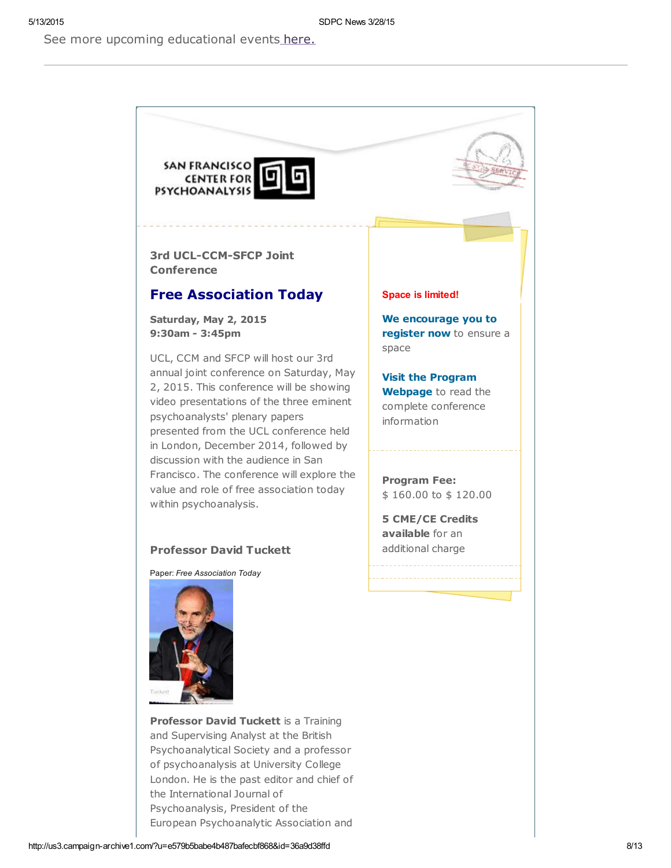See more upcoming educational events [here.](http://www.sdpsychoanalyticcenter.org/community-connections/upcoming-events)

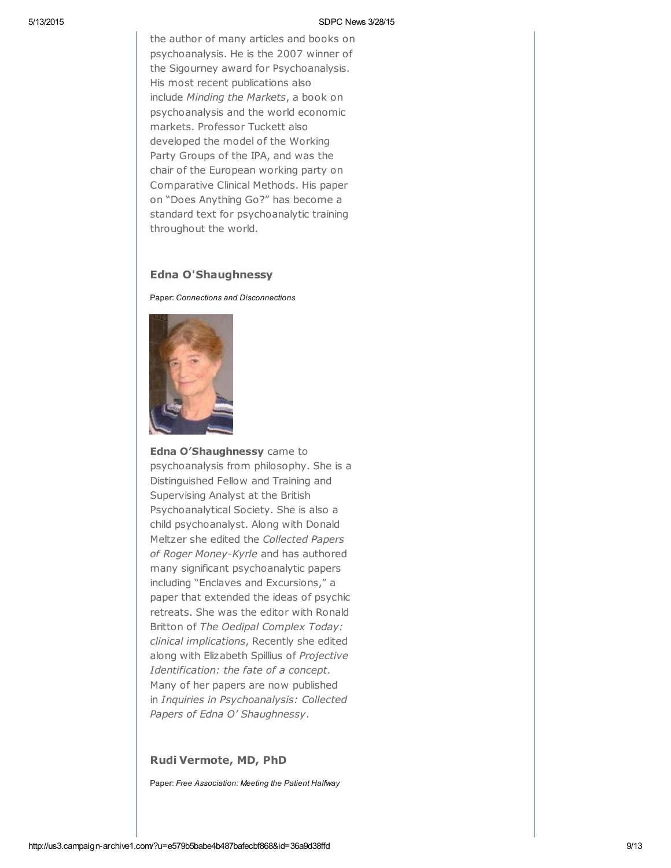the author of many articles and books on psychoanalysis. He is the 2007 winner of the Sigourney award for Psychoanalysis. His most recent publications also include Minding the Markets, a book on psychoanalysis and the world economic markets. Professor Tuckett also developed the model of the Working Party Groups of the IPA, and was the chair of the European working party on Comparative Clinical Methods. His paper on "Does Anything Go?" has become a standard text for psychoanalytic training throughout the world.

### Edna O'Shaughnessy

Paper: Connections and Disconnections



Edna O'Shaughnessy came to psychoanalysis from philosophy. She is a Distinguished Fellow and Training and Supervising Analyst at the British Psychoanalytical Society. She is also a child psychoanalyst. Along with Donald Meltzer she edited the Collected Papers of Roger Money-Kyrle and has authored many significant psychoanalytic papers including "Enclaves and Excursions," a paper that extended the ideas of psychic retreats. She was the editor with Ronald Britton of The Oedipal Complex Today: clinical implications, Recently she edited along with Elizabeth Spillius of Projective Identification: the fate of a concept. Many of her papers are now published in Inquiries in Psychoanalysis: Collected Papers of Edna O' Shaughnessy.

Rudi Vermote, MD, PhD

Paper: Free Association: Meeting the Patient Halfway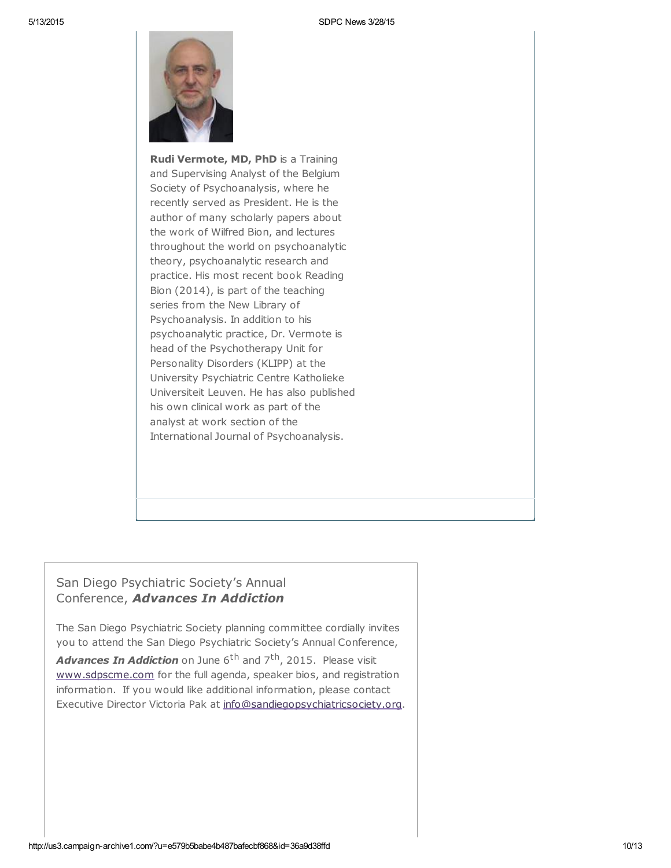

Rudi Vermote, MD, PhD is a Training and Supervising Analyst of the Belgium Society of Psychoanalysis, where he recently served as President. He is the author of many scholarly papers about the work of Wilfred Bion, and lectures throughout the world on psychoanalytic theory, psychoanalytic research and practice. His most recent book Reading Bion (2014), is part of the teaching series from the New Library of Psychoanalysis. In addition to his psychoanalytic practice, Dr. Vermote is head of the Psychotherapy Unit for Personality Disorders (KLIPP) at the University Psychiatric Centre Katholieke Universiteit Leuven. He has also published his own clinical work as part of the analyst at work section of the International Journal of Psychoanalysis.

### San Diego Psychiatric Society's Annual Conference, Advances In Addiction

The San Diego Psychiatric Society planning committee cordially invites you to attend the San Diego Psychiatric Society's Annual Conference,

Advances In Addiction on June 6<sup>th</sup> and 7<sup>th</sup>, 2015. Please visit [www.sdpscme.](http://www.sdpscme.org/)[com](http://www.sdpscme.com/) for the full agenda, speaker bios, and registration information. If you would like additional information, please contact Executive Director Victoria Pak at [info@sandiegopsychiatricsociety.org.](mailto:victoria.pak@gmail.com)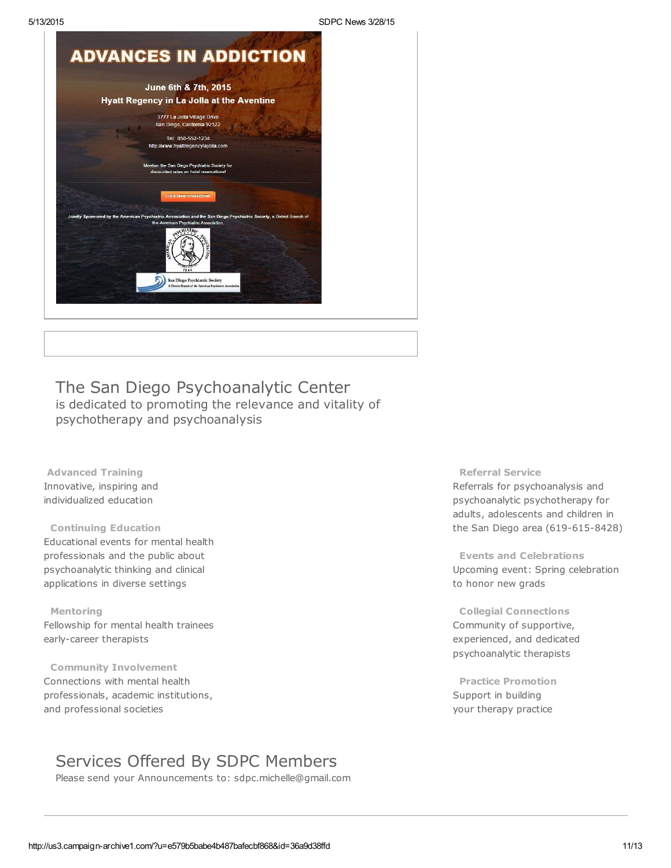

# The San Diego Psychoanalytic Center

is dedicated to promoting the relevance and vitality of psychotherapy and psychoanalysis

Advanced Training Innovative, inspiring and individualized education

#### Continuing Education

Educational events for mental health professionals and the public about psychoanalytic thinking and clinical applications in diverse settings

Mentoring Fellowship for mental health trainees early-career therapists

Community Involvement Connections with mental health professionals, academic institutions, and professional societies

# Services Offered By SDPC Members

Please send your Announcements to: sdpc.michelle@gmail.com

#### Referral Service

Referrals for psychoanalysis and psychoanalytic psychotherapy for adults, adolescents and children in the San Diego area (619-615-8428)

Events and Celebrations Upcoming event: Spring celebration to honor new grads

Collegial Connections Community of supportive, experienced, and dedicated psychoanalytic therapists

Practice Promotion Support in building your therapy practice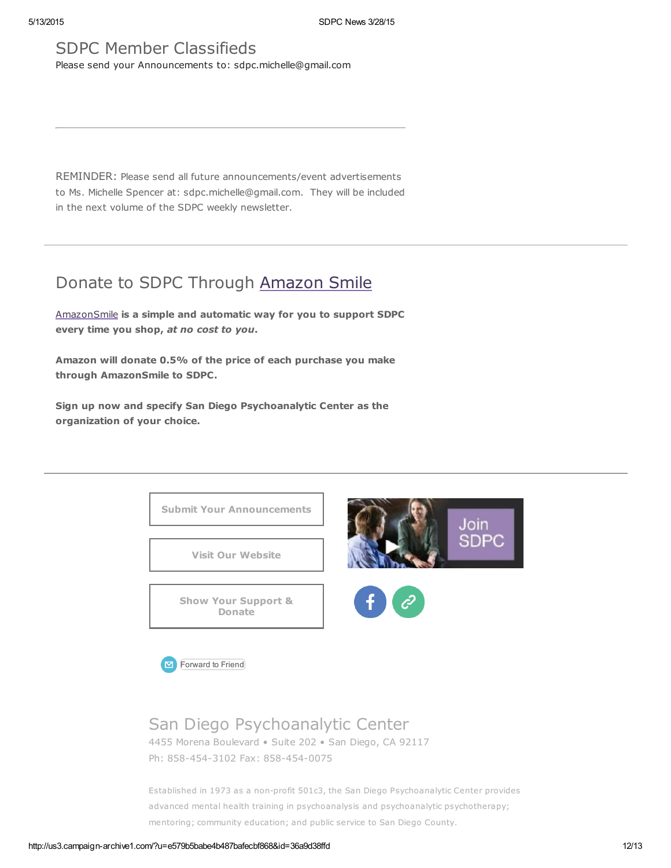# SDPC Member Classifieds

Please send your Announcements to: sdpc.michelle@gmail.com

REMINDER: Please send all future announcements/event advertisements to Ms. Michelle Spencer at: sdpc.michelle@gmail.com. They will be included in the next volume of the SDPC weekly newsletter.

# Donate to SDPC Through [Amazon](http://www.sdpsychoanalyticcenter.org/node/395#overlay-context=node/395) Smile

[AmazonSmile](http://smile.amazon.com/about) is a simple and automatic way for you to support SDPC every time you shop, at no cost to you.

Amazon will donate 0.5% of the price of each purchase you make through AmazonSmile to SDPC.

Sign up now and specify San Diego Psychoanalytic Center as the organization of your choice.



Ph: 858-454-3102 Fax: 858-454-0075

Established in 1973 as a non-profit 501c3, the San Diego Psychoanalytic Center provides advanced mental health training in psychoanalysis and psychoanalytic psychotherapy; mentoring; community education; and public service to San Diego County.